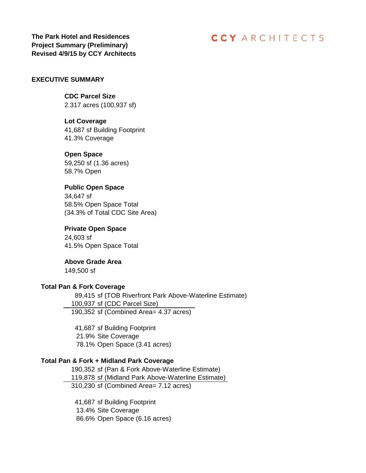**The Park Hotel and Residences Project Summary (Preliminary) Revised 4/9/15 by CCY Architects**

## **CCY ARCHITECTS**

## **EXECUTIVE SUMMARY**

**CDC Parcel Size** 2.317 acres (100,937 sf)

**Lot Coverage**

41,687 sf Building Footprint 41.3% Coverage

#### **Open Space**

59,250 sf (1.36 acres) 58.7% Open

## **Public Open Space**

34,647 sf 58.5% Open Space Total (34.3% of Total CDC Site Area)

## **Private Open Space**

24,603 sf 41.5% Open Space Total

**Above Grade Area** 149,500 sf

#### **Total Pan & Fork Coverage**

89,415 sf (TOB Riverfront Park Above-Waterline Estimate) 100,937 sf (CDC Parcel Size) 190,352 sf (Combined Area= 4.37 acres)

41,687 sf Building Footprint 21.9% Site Coverage 78.1% Open Space (3.41 acres)

#### **Total Pan & Fork + Midland Park Coverage**

190,352 sf (Pan & Fork Above-Waterline Estimate) 119,878 sf (Midland Park Above-Waterline Estimate) 310,230 sf (Combined Area= 7.12 acres)

41,687 sf Building Footprint 13.4% Site Coverage 86.6% Open Space (6.16 acres)